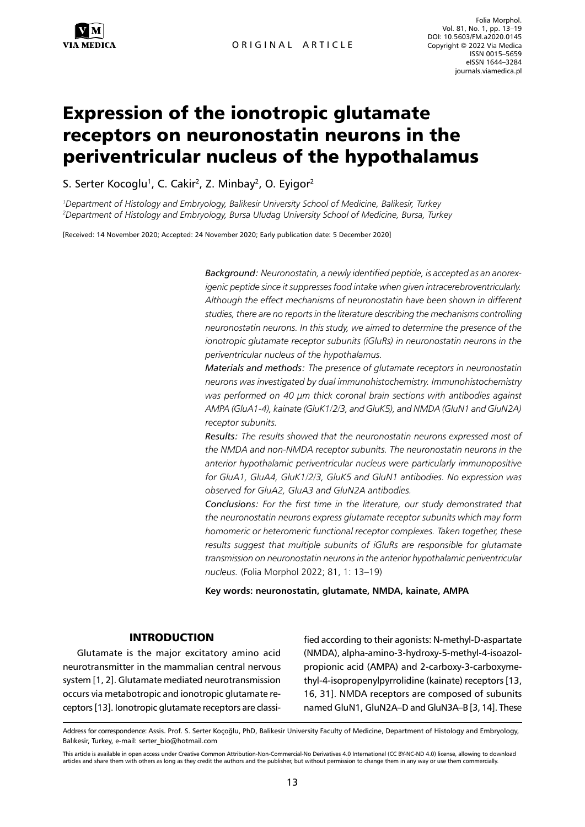

# Expression of the ionotropic glutamate receptors on neuronostatin neurons in the periventricular nucleus of the hypothalamus

S. Serter Kocoglu<sup>1</sup>, C. Cakir<sup>2</sup>, Z. Minbay<sup>2</sup>, O. Eyigor<sup>2</sup>

*1 Department of Histology and Embryology, Balikesir University School of Medicine, Balikesir, Turkey 2 Department of Histology and Embryology, Bursa Uludag University School of Medicine, Bursa, Turkey*

[Received: 14 November 2020; Accepted: 24 November 2020; Early publication date: 5 December 2020]

*Background: Neuronostatin, a newly identified peptide, is accepted as an anorexigenic peptide since it suppresses food intake when given intracerebroventricularly. Although the effect mechanisms of neuronostatin have been shown in different studies, there are no reports in the literature describing the mechanisms controlling neuronostatin neurons. In this study, we aimed to determine the presence of the ionotropic glutamate receptor subunits (iGluRs) in neuronostatin neurons in the periventricular nucleus of the hypothalamus.* 

*Materials and methods: The presence of glutamate receptors in neuronostatin neurons was investigated by dual immunohistochemistry. Immunohistochemistry was performed on 40 µm thick coronal brain sections with antibodies against AMPA (GluA1-4), kainate (GluK1/2/3, and GluK5), and NMDA (GluN1 and GluN2A) receptor subunits.* 

*Results: The results showed that the neuronostatin neurons expressed most of the NMDA and non-NMDA receptor subunits. The neuronostatin neurons in the anterior hypothalamic periventricular nucleus were particularly immunopositive for GluA1, GluA4, GluK1/2/3, GluK5 and GluN1 antibodies. No expression was observed for GluA2, GluA3 and GluN2A antibodies.* 

*Conclusions: For the first time in the literature, our study demonstrated that the neuronostatin neurons express glutamate receptor subunits which may form homomeric or heteromeric functional receptor complexes. Taken together, these*  results suggest that multiple subunits of iGluRs are responsible for glutamate *transmission on neuronostatin neurons in the anterior hypothalamic periventricular nucleus.* (Folia Morphol 2022; 81, 1: 13–19)

**Key words: neuronostatin, glutamate, NMDA, kainate, AMPA**

## INTRODUCTION

Glutamate is the major excitatory amino acid neurotransmitter in the mammalian central nervous system [1, 2]. Glutamate mediated neurotransmission occurs via metabotropic and ionotropic glutamate receptors [13]. Ionotropic glutamate receptors are classified according to their agonists: N-methyl-D-aspartate (NMDA), alpha-amino-3-hydroxy-5-methyl-4-isoazolpropionic acid (AMPA) and 2-carboxy-3-carboxymethyl-4-isopropenylpyrrolidine (kainate) receptors [13, 16, 31]. NMDA receptors are composed of subunits named GluN1, GluN2A–D and GluN3A–B [3, 14]. These

Address for correspondence: Assis. Prof. S. Serter Koçoğlu, PhD, Balikesir University Faculty of Medicine, Department of Histology and Embryology, Balıkesir, Turkey, e-mail: [serter\\_bio@hotmail.com](mailto:serter_bio@hotmail.com)

This article is available in open access under Creative Common Attribution-Non-Commercial-No Derivatives 4.0 International (CC BY-NC-ND 4.0) license, allowing to download articles and share them with others as long as they credit the authors and the publisher, but without permission to change them in any way or use them commercially.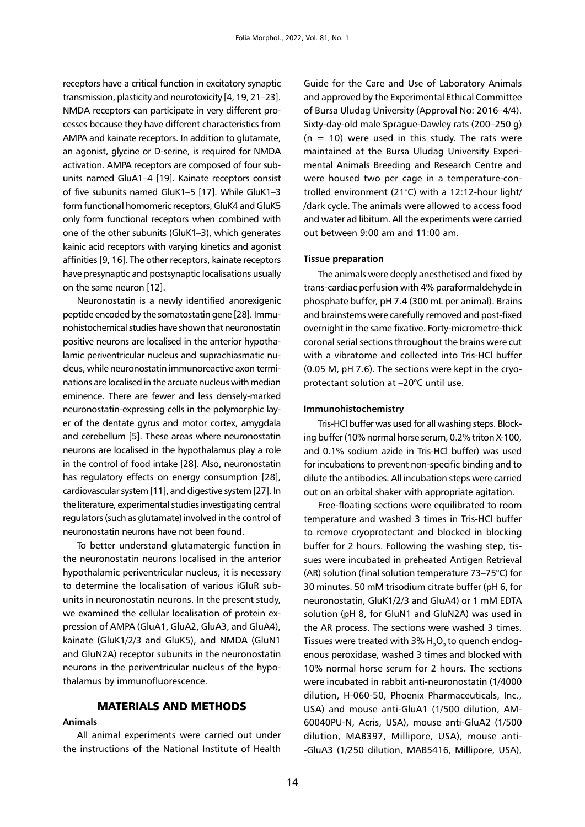receptors have a critical function in excitatory synaptic transmission, plasticity and neurotoxicity [4, 19, 21–23]. NMDA receptors can participate in very different processes because they have different characteristics from AMPA and kainate receptors. In addition to glutamate, an agonist, glycine or D-serine, is required for NMDA activation. AMPA receptors are composed of four subunits named GluA1–4 [19]. Kainate receptors consist of five subunits named GluK1–5 [17]. While GluK1–3 form functional homomeric receptors, GluK4 and GluK5 only form functional receptors when combined with one of the other subunits (GluK1–3), which generates kainic acid receptors with varying kinetics and agonist affinities [9, 16]. The other receptors, kainate receptors have presynaptic and postsynaptic localisations usually on the same neuron [12].

Neuronostatin is a newly identified anorexigenic peptide encoded by the somatostatin gene [28]. Immunohistochemical studies have shown that neuronostatin positive neurons are localised in the anterior hypothalamic periventricular nucleus and suprachiasmatic nucleus, while neuronostatin immunoreactive axon terminations are localised in the arcuate nucleus with median eminence. There are fewer and less densely-marked neuronostatin-expressing cells in the polymorphic layer of the dentate gyrus and motor cortex, amygdala and cerebellum [5]. These areas where neuronostatin neurons are localised in the hypothalamus play a role in the control of food intake [28]. Also, neuronostatin has regulatory effects on energy consumption [28], cardiovascular system [11], and digestive system [27]. In the literature, experimental studies investigating central regulators (such as glutamate) involved in the control of neuronostatin neurons have not been found.

To better understand glutamatergic function in the neuronostatin neurons localised in the anterior hypothalamic periventricular nucleus, it is necessary to determine the localisation of various iGluR subunits in neuronostatin neurons. In the present study, we examined the cellular localisation of protein expression of AMPA (GluA1, GluA2, GluA3, and GluA4), kainate (GluK1/2/3 and GluK5), and NMDA (GluN1 and GluN2A) receptor subunits in the neuronostatin neurons in the periventricular nucleus of the hypothalamus by immunofluorescence.

# MATERIALS AND METHODS

#### **Animals**

All animal experiments were carried out under the instructions of the National Institute of Health

Guide for the Care and Use of Laboratory Animals and approved by the Experimental Ethical Committee of Bursa Uludag University (Approval No: 2016–4/4). Sixty-day-old male Sprague-Dawley rats (200–250 g)  $(n = 10)$  were used in this study. The rats were maintained at the Bursa Uludag University Experimental Animals Breeding and Research Centre and were housed two per cage in a temperature-controlled environment (21°C) with a 12:12-hour light/ /dark cycle. The animals were allowed to access food and water ad libitum. All the experiments were carried out between 9:00 am and 11:00 am.

### **Tissue preparation**

The animals were deeply anesthetised and fixed by trans-cardiac perfusion with 4% paraformaldehyde in phosphate buffer, pH 7.4 (300 mL per animal). Brains and brainstems were carefully removed and post-fixed overnight in the same fixative. Forty-micrometre-thick coronal serial sections throughout the brains were cut with a vibratome and collected into Tris-HCl buffer (0.05 M, pH 7.6). The sections were kept in the cryoprotectant solution at –20°C until use.

#### **Immunohistochemistry**

Tris-HCl buffer was used for all washing steps. Blocking buffer (10% normal horse serum, 0.2% triton X-100, and 0.1% sodium azide in Tris-HCl buffer) was used for incubations to prevent non-specific binding and to dilute the antibodies. All incubation steps were carried out on an orbital shaker with appropriate agitation.

Free-floating sections were equilibrated to room temperature and washed 3 times in Tris-HCl buffer to remove cryoprotectant and blocked in blocking buffer for 2 hours. Following the washing step, tissues were incubated in preheated Antigen Retrieval (AR) solution (final solution temperature 73–75°C) for 30 minutes. 50 mM trisodium citrate buffer (pH 6, for neuronostatin, GluK1/2/3 and GluA4) or 1 mM EDTA solution (pH 8, for GluN1 and GluN2A) was used in the AR process. The sections were washed 3 times. Tissues were treated with  $3\%$  H<sub>2</sub>O<sub>2</sub> to quench endogenous peroxidase, washed 3 times and blocked with 10% normal horse serum for 2 hours. The sections were incubated in rabbit anti-neuronostatin (1/4000 dilution, H-060-50, Phoenix Pharmaceuticals, Inc., USA) and mouse anti-GluA1 (1/500 dilution, AM-60040PU-N, Acris, USA), mouse anti-GluA2 (1/500 dilution, MAB397, Millipore, USA), mouse anti- -GluA3 (1/250 dilution, MAB5416, Millipore, USA),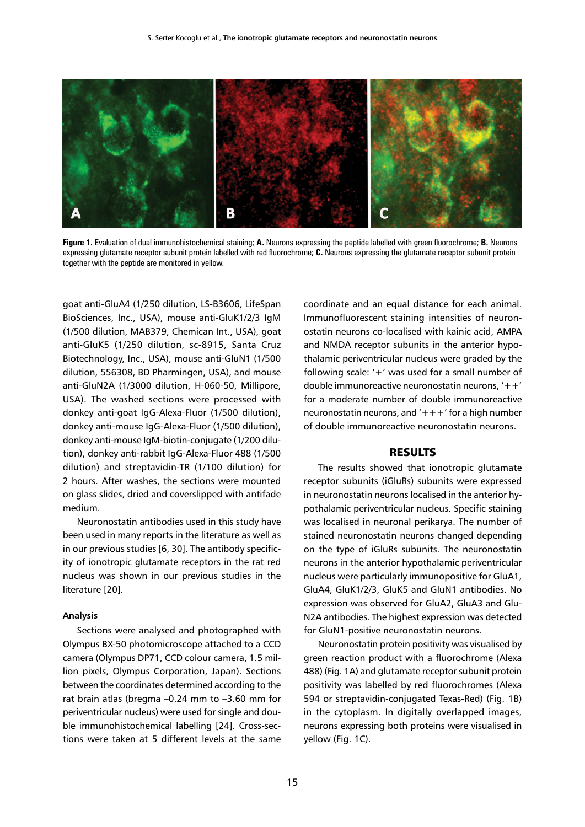

**Figure 1.** Evaluation of dual immunohistochemical staining; **A.** Neurons expressing the peptide labelled with green fluorochrome; **B.** Neurons expressing glutamate receptor subunit protein labelled with red fluorochrome; **C.** Neurons expressing the glutamate receptor subunit protein together with the peptide are monitored in yellow.

goat anti-GluA4 (1/250 dilution, LS-B3606, LifeSpan BioSciences, Inc., USA), mouse anti-GluK1/2/3 IgM (1/500 dilution, MAB379, Chemican Int., USA), goat anti-GluK5 (1/250 dilution, sc-8915, Santa Cruz Biotechnology, Inc., USA), mouse anti-GluN1 (1/500 dilution, 556308, BD Pharmingen, USA), and mouse anti-GluN2A (1/3000 dilution, H-060-50, Millipore, USA). The washed sections were processed with donkey anti-goat IgG-Alexa-Fluor (1/500 dilution), donkey anti-mouse IgG-Alexa-Fluor (1/500 dilution), donkey anti-mouse IgM-biotin-conjugate (1/200 dilution), donkey anti-rabbit IgG-Alexa-Fluor 488 (1/500 dilution) and streptavidin-TR (1/100 dilution) for 2 hours. After washes, the sections were mounted on glass slides, dried and coverslipped with antifade medium.

Neuronostatin antibodies used in this study have been used in many reports in the literature as well as in our previous studies [6, 30]. The antibody specificity of ionotropic glutamate receptors in the rat red nucleus was shown in our previous studies in the literature [20].

## **Analysis**

Sections were analysed and photographed with Olympus BX-50 photomicroscope attached to a CCD camera (Olympus DP71, CCD colour camera, 1.5 million pixels, Olympus Corporation, Japan). Sections between the coordinates determined according to the rat brain atlas (bregma –0.24 mm to –3.60 mm for periventricular nucleus) were used for single and double immunohistochemical labelling [24]. Cross-sections were taken at 5 different levels at the same

coordinate and an equal distance for each animal. Immunofluorescent staining intensities of neuronostatin neurons co-localised with kainic acid, AMPA and NMDA receptor subunits in the anterior hypothalamic periventricular nucleus were graded by the following scale: '+' was used for a small number of double immunoreactive neuronostatin neurons, '++' for a moderate number of double immunoreactive neuronostatin neurons, and  $'$ +++' for a high number of double immunoreactive neuronostatin neurons.

#### RESULTS

The results showed that ionotropic glutamate receptor subunits (iGluRs) subunits were expressed in neuronostatin neurons localised in the anterior hypothalamic periventricular nucleus. Specific staining was localised in neuronal perikarya. The number of stained neuronostatin neurons changed depending on the type of iGluRs subunits. The neuronostatin neurons in the anterior hypothalamic periventricular nucleus were particularly immunopositive for GluA1, GluA4, GluK1/2/3, GluK5 and GluN1 antibodies. No expression was observed for GluA2, GluA3 and Glu-N2A antibodies. The highest expression was detected for GluN1-positive neuronostatin neurons.

Neuronostatin protein positivity was visualised by green reaction product with a fluorochrome (Alexa 488) [\(Fig. 1](https://www.ncbi.nlm.nih.gov/pmc/articles/PMC6734578/figure/F1/)A) and glutamate receptor subunit protein positivity was labelled by red fluorochromes (Alexa 594 or streptavidin-conjugated Texas-Red) ([Fig. 1](https://www.ncbi.nlm.nih.gov/pmc/articles/PMC6734578/figure/F1/)B) in the cytoplasm. In digitally overlapped images, neurons expressing both proteins were visualised in yellow (Fig. 1C).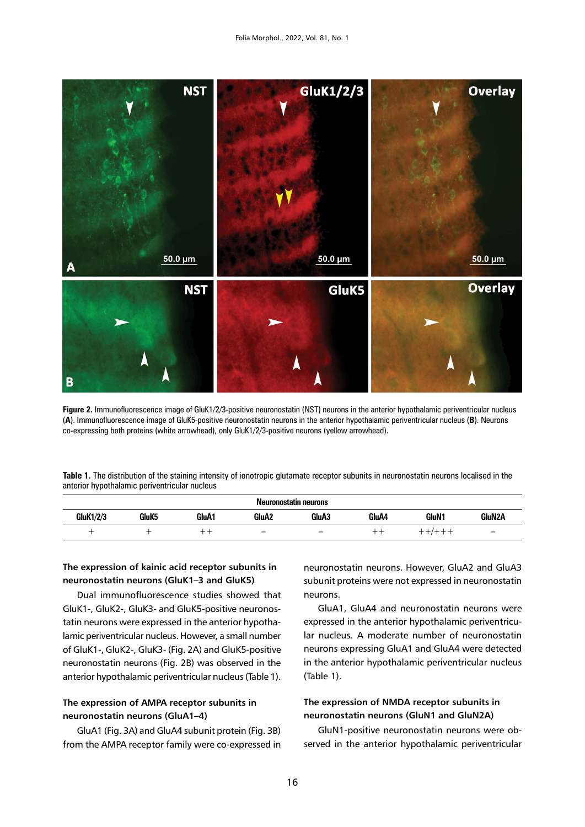

**Figure 2.** Immunofluorescence image of GluK1/2/3-positive neuronostatin (NST) neurons in the anterior hypothalamic periventricular nucleus (**A**). Immunofluorescence image of GluK5-positive neuronostatin neurons in the anterior hypothalamic periventricular nucleus (**B**). Neurons co-expressing both proteins (white arrowhead), only GluK1/2/3-positive neurons (yellow arrowhead).

| Table 1. The distribution of the staining intensity of ionotropic glutamate receptor subunits in neuronostatin neurons localised in the |  |  |
|-----------------------------------------------------------------------------------------------------------------------------------------|--|--|
| anterior hypothalamic periventricular nucleus                                                                                           |  |  |

| Neuronostatin neurons |                   |       |                          |                          |       |       |                          |  |  |  |
|-----------------------|-------------------|-------|--------------------------|--------------------------|-------|-------|--------------------------|--|--|--|
| <b>GluK1/2/3</b>      | GluK <sub>5</sub> | GluA1 | GluA <sub>2</sub>        | GluA3                    | GluA4 | GluN1 | GluN2A                   |  |  |  |
|                       |                   |       | $\overline{\phantom{0}}$ | $\overline{\phantom{a}}$ |       |       | $\overline{\phantom{m}}$ |  |  |  |

# **The expression of kainic acid receptor subunits in neuronostatin neurons (GluK1–3 and GluK5)**

Dual immunofluorescence studies showed that GluK1-, GluK2-, GluK3- and GluK5-positive neuronostatin neurons were expressed in the anterior hypothalamic periventricular nucleus. However, a small number of GluK1-, GluK2-, GluK3- (Fig. 2A) and GluK5-positive neuronostatin neurons (Fig. 2B) was observed in the anterior hypothalamic periventricular nucleus (Table 1).

# **The expression of AMPA receptor subunits in neuronostatin neurons (GluA1–4)**

GluA1 (Fig. 3A) and GluA4 subunit protein (Fig. 3B) from the AMPA receptor family were co-expressed in

neuronostatin neurons. However, GluA2 and GluA3 subunit proteins were not expressed in neuronostatin neurons.

GluA1, GluA4 and neuronostatin neurons were expressed in the anterior hypothalamic periventricular nucleus. A moderate number of neuronostatin neurons expressing GluA1 and GluA4 were detected in the anterior hypothalamic periventricular nucleus (Table 1).

# **The expression of NMDA receptor subunits in neuronostatin neurons (GluN1 and GluN2A)**

GluN1-positive neuronostatin neurons were observed in the anterior hypothalamic periventricular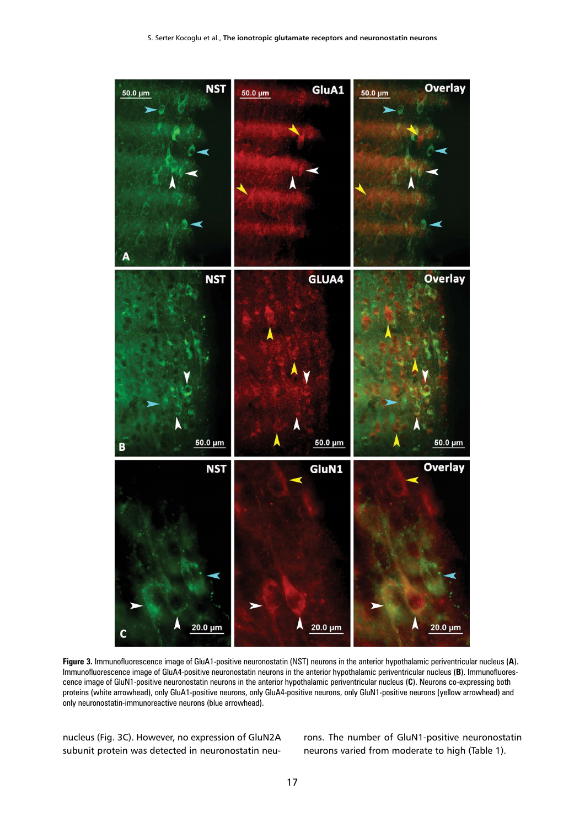

**Figure 3.** Immunofluorescence image of GluA1-positive neuronostatin (NST) neurons in the anterior hypothalamic periventricular nucleus (**A**). Immunofluorescence image of GluA4-positive neuronostatin neurons in the anterior hypothalamic periventricular nucleus (**B**). Immunofluorescence image of GluN1-positive neuronostatin neurons in the anterior hypothalamic periventricular nucleus (**C**). Neurons co-expressing both proteins (white arrowhead), only GluA1-positive neurons, only GluA4-positive neurons, only GluN1-positive neurons (yellow arrowhead) and only neuronostatin-immunoreactive neurons (blue arrowhead).

nucleus (Fig. 3C). However, no expression of GluN2A subunit protein was detected in neuronostatin neurons. The number of GluN1-positive neuronostatin neurons varied from moderate to high (Table 1).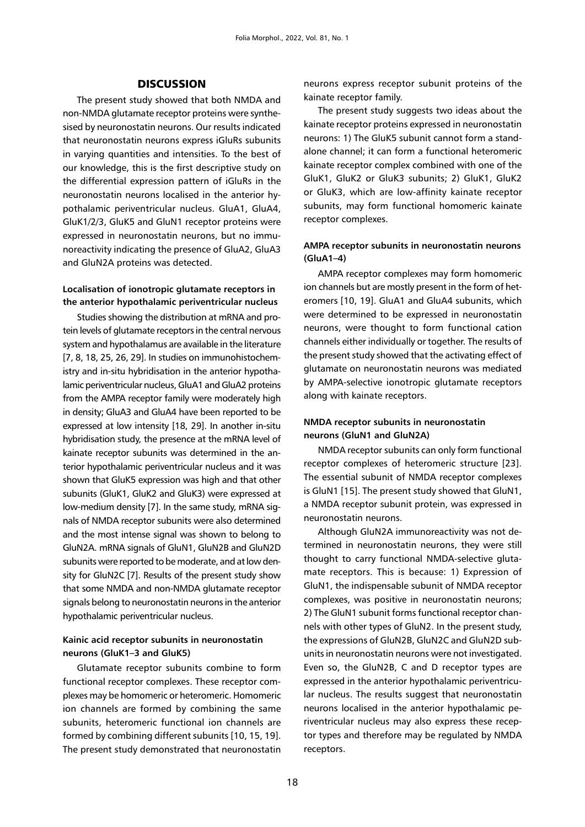## **DISCUSSION**

The present study showed that both NMDA and non-NMDA glutamate receptor proteins were synthesised by neuronostatin neurons. Our results indicated that neuronostatin neurons express iGluRs subunits in varying quantities and intensities. To the best of our knowledge, this is the first descriptive study on the differential expression pattern of iGluRs in the neuronostatin neurons localised in the anterior hypothalamic periventricular nucleus. GluA1, GluA4, GluK1/2/3, GluK5 and GluN1 receptor proteins were expressed in neuronostatin neurons, but no immunoreactivity indicating the presence of GluA2, GluA3 and GluN2A proteins was detected.

## **Localisation of ionotropic glutamate receptors in the anterior hypothalamic periventricular nucleus**

Studies showing the distribution at mRNA and protein levels of glutamate receptors in the central nervous system and hypothalamus are available in the literature [7, 8, 18, 25, 26, 29]. In studies on immunohistochemistry and in-situ hybridisation in the anterior hypothalamic periventricular nucleus, GluA1 and GluA2 proteins from the AMPA receptor family were moderately high in density; GluA3 and GluA4 have been reported to be expressed at low intensity [18, 29]. In another in-situ hybridisation study, the presence at the mRNA level of kainate receptor subunits was determined in the anterior hypothalamic periventricular nucleus and it was shown that GluK5 expression was high and that other subunits (GluK1, GluK2 and GluK3) were expressed at low-medium density [7]. In the same study, mRNA signals of NMDA receptor subunits were also determined and the most intense signal was shown to belong to GluN2A. mRNA signals of GluN1, GluN2B and GluN2D subunits were reported to be moderate, and at low density for GluN2C [7]. Results of the present study show that some NMDA and non-NMDA glutamate receptor signals belong to neuronostatin neurons in the anterior hypothalamic periventricular nucleus.

# **Kainic acid receptor subunits in neuronostatin neurons (GluK1–3 and GluK5)**

Glutamate receptor subunits combine to form functional receptor complexes. These receptor complexes may be homomeric or heteromeric. Homomeric ion channels are formed by combining the same subunits, heteromeric functional ion channels are formed by combining different subunits [10, 15, 19]. The present study demonstrated that neuronostatin neurons express receptor subunit proteins of the kainate receptor family.

The present study suggests two ideas about the kainate receptor proteins expressed in neuronostatin neurons: 1) The GluK5 subunit cannot form a standalone channel; it can form a functional heteromeric kainate receptor complex combined with one of the GluK1, GluK2 or GluK3 subunits; 2) GluK1, GluK2 or GluK3, which are low-affinity kainate receptor subunits, may form functional homomeric kainate receptor complexes.

# **AMPA receptor subunits in neuronostatin neurons (GluA1–4)**

AMPA receptor complexes may form homomeric ion channels but are mostly present in the form of heteromers [10, 19]. GluA1 and GluA4 subunits, which were determined to be expressed in neuronostatin neurons, were thought to form functional cation channels either individually or together. The results of the present study showed that the activating effect of glutamate on neuronostatin neurons was mediated by AMPA-selective ionotropic glutamate receptors along with kainate receptors.

# **NMDA receptor subunits in neuronostatin neurons (GluN1 and GluN2A)**

NMDA receptor subunits can only form functional receptor complexes of heteromeric structure [23]. The essential subunit of NMDA receptor complexes is GluN1 [15]. The present study showed that GluN1, a NMDA receptor subunit protein, was expressed in neuronostatin neurons.

Although GluN2A immunoreactivity was not determined in neuronostatin neurons, they were still thought to carry functional NMDA-selective glutamate receptors. This is because: 1) Expression of GluN1, the indispensable subunit of NMDA receptor complexes, was positive in neuronostatin neurons; 2) The GluN1 subunit forms functional receptor channels with other types of GluN2. In the present study, the expressions of GluN2B, GluN2C and GluN2D subunits in neuronostatin neurons were not investigated. Even so, the GluN2B, C and D receptor types are expressed in the anterior hypothalamic periventricular nucleus. The results suggest that neuronostatin neurons localised in the anterior hypothalamic periventricular nucleus may also express these receptor types and therefore may be regulated by NMDA receptors.